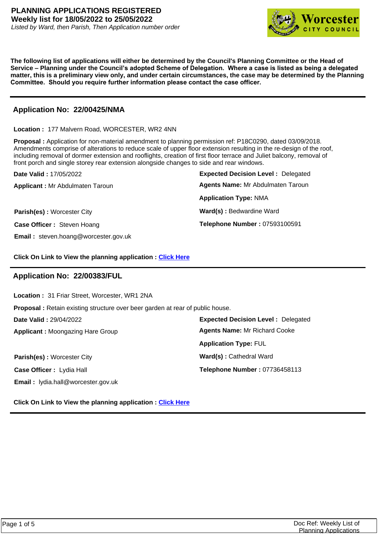

**The following list of applications will either be determined by the Council's Planning Committee or the Head of Service – Planning under the Council's adopted Scheme of Delegation. Where a case is listed as being a delegated matter, this is a preliminary view only, and under certain circumstances, the case may be determined by the Planning Committee. Should you require further information please contact the case officer.**

## **Application No: 22/00425/NMA**

**Location :** 177 Malvern Road, WORCESTER, WR2 4NN

**Proposal :** Application for non-material amendment to planning permission ref: P18C0290, dated 03/09/2018. Amendments comprise of alterations to reduce scale of upper floor extension resulting in the re-design of the roof, including removal of dormer extension and rooflights, creation of first floor terrace and Juliet balcony, removal of front porch and single storey rear extension alongside changes to side and rear windows.

| <b>Date Valid: 17/05/2022</b>               | <b>Expected Decision Level: Delegated</b> |
|---------------------------------------------|-------------------------------------------|
| <b>Applicant: Mr Abdulmaten Taroun</b>      | Agents Name: Mr Abdulmaten Taroun         |
|                                             | <b>Application Type: NMA</b>              |
| <b>Parish(es): Worcester City</b>           | Ward(s): Bedwardine Ward                  |
| Case Officer: Steven Hoang                  | Telephone Number: 07593100591             |
| <b>Email:</b> steven.hoang@worcester.gov.uk |                                           |

**Click On Link to View the planning application : [Click Here](https://plan.worcester.gov.uk/Planning/Display/22/00425/NMA)**

# **Application No: 22/00383/FUL**

**Location :** 31 Friar Street, Worcester, WR1 2NA

**Proposal :** Retain existing structure over beer garden at rear of public house.

**Date Valid :** 29/04/2022

**Applicant :** Moongazing Hare Group

**Parish(es):** Worcester City **Ward(s):** Cathedral Ward **Case Officer :** Lydia Hall **Email :** lydia.hall@worcester.gov.uk

**Expected Decision Level :** Delegated **Telephone Number :** 07736458113 **Application Type:** FUL **Agents Name:** Mr Richard Cooke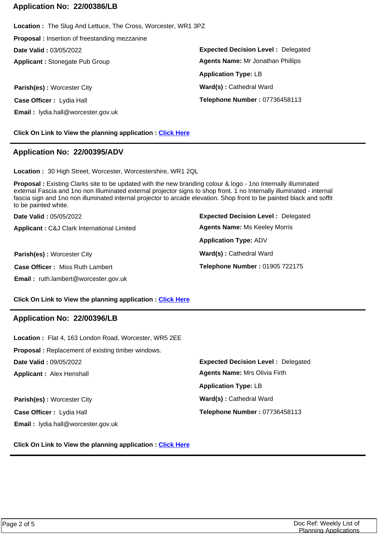## **Application No: 22/00386/LB**

**Expected Decision Level :** Delegated **Parish(es):** Worcester City **Ward(s):** Cathedral Ward **Applicant :** Stonegate Pub Group **Date Valid :** 03/05/2022 **Location :** The Slug And Lettuce, The Cross, Worcester, WR1 3PZ **Proposal :** Insertion of freestanding mezzanine **Case Officer :** Lydia Hall **Email :** lydia.hall@worcester.gov.uk **Telephone Number :** 07736458113 **Application Type:** LB **Agents Name:** Mr Jonathan Phillips

**Click On Link to View the planning application : [Click Here](https://plan.worcester.gov.uk/Planning/Display/22/00386/LB)**

## **Application No: 22/00395/ADV**

**Location :** 30 High Street, Worcester, Worcestershire, WR1 2QL

**Proposal :** Existing Clarks site to be updated with the new branding colour & logo - 1no Internally illuminated external Fascia and 1no non Illuminated external projector signs to shop front. 1 no Internally illuminated - internal fascia sign and 1no non illuminated internal projector to arcade elevation. Shop front to be painted black and soffit to be painted white.

| Date Valid: 05/05/2022                      | <b>Expected Decision Level: Delegated</b> |
|---------------------------------------------|-------------------------------------------|
| Applicant: C&J Clark International Limited  | <b>Agents Name: Ms Keeley Morris</b>      |
|                                             | <b>Application Type: ADV</b>              |
| Parish(es): Worcester City                  | Ward(s): Cathedral Ward                   |
| <b>Case Officer: Miss Ruth Lambert</b>      | Telephone Number: 01905 722175            |
| <b>Email:</b> ruth.lambert@worcester.gov.uk |                                           |

**Click On Link to View the planning application : [Click Here](https://plan.worcester.gov.uk/Planning/Display/22/00395/ADV)**

# **Application No: 22/00396/LB**

**Expected Decision Level :** Delegated **Parish(es):** Worcester City **Ward(s):** Cathedral Ward **Applicant :** Alex Henshall **Date Valid :** 09/05/2022 **Location :** Flat 4, 163 London Road, Worcester, WR5 2EE **Proposal :** Replacement of existing timber windows. **Case Officer :** Lydia Hall **Email :** lydia.hall@worcester.gov.uk **Telephone Number :** 07736458113 **Application Type:** LB **Agents Name:** Mrs Olivia Firth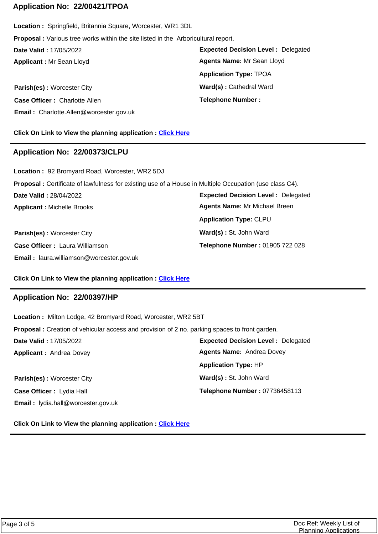## **Application No: 22/00421/TPOA**

**Applicant :** Mr Sean Lloyd **Date Valid :** 17/05/2022 **Location :** Springfield, Britannia Square, Worcester, WR1 3DL **Proposal :** Various tree works within the site listed in the Arboricultural report.

**Case Officer :** Charlotte Allen **Email :** Charlotte.Allen@worcester.gov.uk

**Expected Decision Level :** Delegated **Parish(es):** Worcester City **Ward(s):** Cathedral Ward **Telephone Number : Application Type:** TPOA **Agents Name:** Mr Sean Lloyd

**Click On Link to View the planning application : [Click Here](https://plan.worcester.gov.uk/Planning/Display/22/00421/TPOA)**

#### **Application No: 22/00373/CLPU**

**Expected Decision Level :** Delegated **Parish(es) :** Worcester City **Ward(s) :** St. John Ward **Applicant :** Michelle Brooks **Date Valid :** 28/04/2022 **Location :** 92 Bromyard Road, Worcester, WR2 5DJ **Proposal :** Certificate of lawfulness for existing use of a House in Multiple Occupation (use class C4). **Case Officer :** Laura Williamson **Telephone Number :** 01905 722 028 **Application Type:** CLPU **Agents Name:** Mr Michael Breen

**Click On Link to View the planning application : [Click Here](https://plan.worcester.gov.uk/Planning/Display/22/00373/CLPU)**

### **Application No: 22/00397/HP**

**Email :** laura.williamson@worcester.gov.uk

**Expected Decision Level :** Delegated **Parish(es):** Worcester City **Ward(s):** St. John Ward **Applicant :** Andrea Dovey **Date Valid :** 17/05/2022 **Location :** Milton Lodge, 42 Bromyard Road, Worcester, WR2 5BT **Proposal :** Creation of vehicular access and provision of 2 no. parking spaces to front garden. **Case Officer :** Lydia Hall **Email :** lydia.hall@worcester.gov.uk **Telephone Number :** 07736458113 **Application Type:** HP **Agents Name:** Andrea Dovey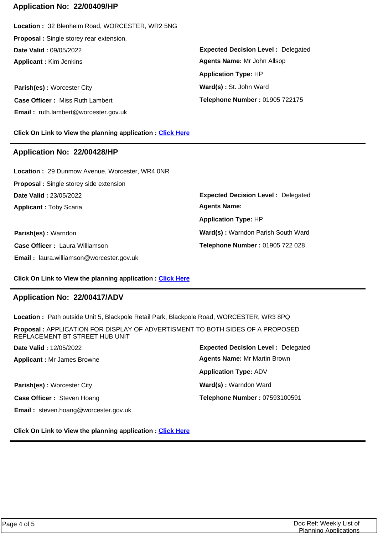### **Application No: 22/00409/HP**

**Applicant :** Kim Jenkins **Date Valid :** 09/05/2022 **Location :** 32 Blenheim Road, WORCESTER, WR2 5NG **Proposal :** Single storey rear extension.

**Parish(es):** Worcester City **Ward(s):** St. John Ward **Case Officer :** Miss Ruth Lambert **Email :** ruth.lambert@worcester.gov.uk

**Click On Link to View the planning application : [Click Here](https://plan.worcester.gov.uk/Planning/Display/22/00409/HP)**

#### **Application No: 22/00428/HP**

**Applicant :** Toby Scaria **Date Valid :** 23/05/2022 **Location :** 29 Dunmow Avenue, Worcester, WR4 0NR **Proposal :** Single storey side extension

**Parish(es) :** Warndon **Ward(s) :** Warndon Parish South Ward **Case Officer :** Laura Williamson **Email :** laura.williamson@worcester.gov.uk

**Expected Decision Level :** Delegated **Telephone Number :** 01905 722175 **Application Type:** HP **Agents Name:** Mr John Allsop

**Expected Decision Level :** Delegated **Telephone Number :** 01905 722 028 **Application Type:** HP **Agents Name:** 

#### **Click On Link to View the planning application : [Click Here](https://plan.worcester.gov.uk/Planning/Display/22/00428/HP)**

### **Application No: 22/00417/ADV**

**Location :** Path outside Unit 5, Blackpole Retail Park, Blackpole Road, WORCESTER, WR3 8PQ

**Applicant :** Mr James Browne **Date Valid :** 12/05/2022 **Proposal :** APPLICATION FOR DISPLAY OF ADVERTISMENT TO BOTH SIDES OF A PROPOSED REPLACEMENT BT STREET HUB UNIT

**Parish(es):** Worcester City **Ward(s):** Ward(s): Warndon Ward **Case Officer :** Steven Hoang **Email :** steven.hoang@worcester.gov.uk

**Expected Decision Level :** Delegated **Telephone Number :** 07593100591 **Application Type:** ADV **Agents Name:** Mr Martin Brown